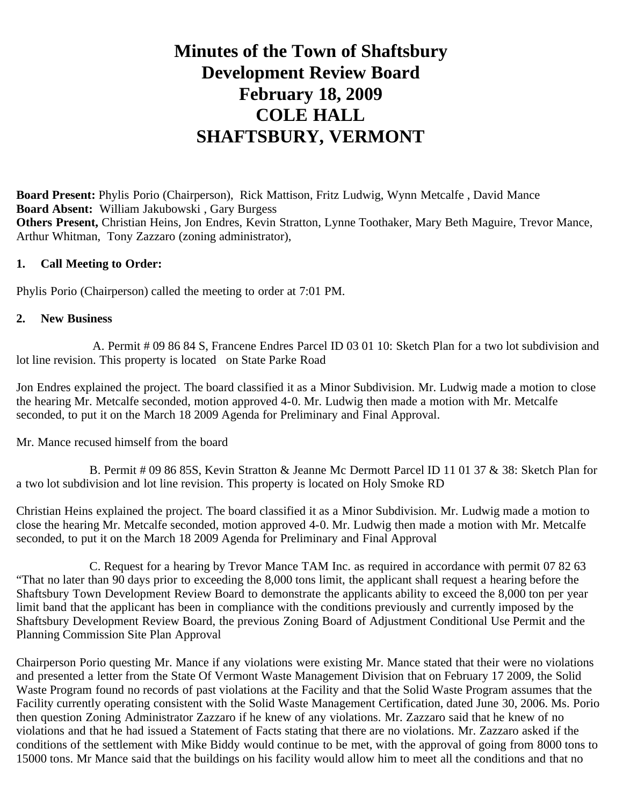# **Minutes of the Town of Shaftsbury Development Review Board February 18, 2009 COLE HALL SHAFTSBURY, VERMONT**

**Board Present:** Phylis Porio (Chairperson), Rick Mattison, Fritz Ludwig, Wynn Metcalfe , David Mance **Board Absent:** William Jakubowski , Gary Burgess **Others Present,** Christian Heins, Jon Endres, Kevin Stratton, Lynne Toothaker, Mary Beth Maguire, Trevor Mance, Arthur Whitman, Tony Zazzaro (zoning administrator),

#### **1. Call Meeting to Order:**

Phylis Porio (Chairperson) called the meeting to order at 7:01 PM.

#### **2. New Business**

 A. Permit # 09 86 84 S, Francene Endres Parcel ID 03 01 10: Sketch Plan for a two lot subdivision and lot line revision. This property is located on State Parke Road

Jon Endres explained the project. The board classified it as a Minor Subdivision. Mr. Ludwig made a motion to close the hearing Mr. Metcalfe seconded, motion approved 4-0. Mr. Ludwig then made a motion with Mr. Metcalfe seconded, to put it on the March 18 2009 Agenda for Preliminary and Final Approval.

Mr. Mance recused himself from the board

 B. Permit # 09 86 85S, Kevin Stratton & Jeanne Mc Dermott Parcel ID 11 01 37 & 38: Sketch Plan for a two lot subdivision and lot line revision. This property is located on Holy Smoke RD

Christian Heins explained the project. The board classified it as a Minor Subdivision. Mr. Ludwig made a motion to close the hearing Mr. Metcalfe seconded, motion approved 4-0. Mr. Ludwig then made a motion with Mr. Metcalfe seconded, to put it on the March 18 2009 Agenda for Preliminary and Final Approval

 C. Request for a hearing by Trevor Mance TAM Inc. as required in accordance with permit 07 82 63 "That no later than 90 days prior to exceeding the 8,000 tons limit, the applicant shall request a hearing before the Shaftsbury Town Development Review Board to demonstrate the applicants ability to exceed the 8,000 ton per year limit band that the applicant has been in compliance with the conditions previously and currently imposed by the Shaftsbury Development Review Board, the previous Zoning Board of Adjustment Conditional Use Permit and the Planning Commission Site Plan Approval

Chairperson Porio questing Mr. Mance if any violations were existing Mr. Mance stated that their were no violations and presented a letter from the State Of Vermont Waste Management Division that on February 17 2009, the Solid Waste Program found no records of past violations at the Facility and that the Solid Waste Program assumes that the Facility currently operating consistent with the Solid Waste Management Certification, dated June 30, 2006. Ms. Porio then question Zoning Administrator Zazzaro if he knew of any violations. Mr. Zazzaro said that he knew of no violations and that he had issued a Statement of Facts stating that there are no violations. Mr. Zazzaro asked if the conditions of the settlement with Mike Biddy would continue to be met, with the approval of going from 8000 tons to 15000 tons. Mr Mance said that the buildings on his facility would allow him to meet all the conditions and that no